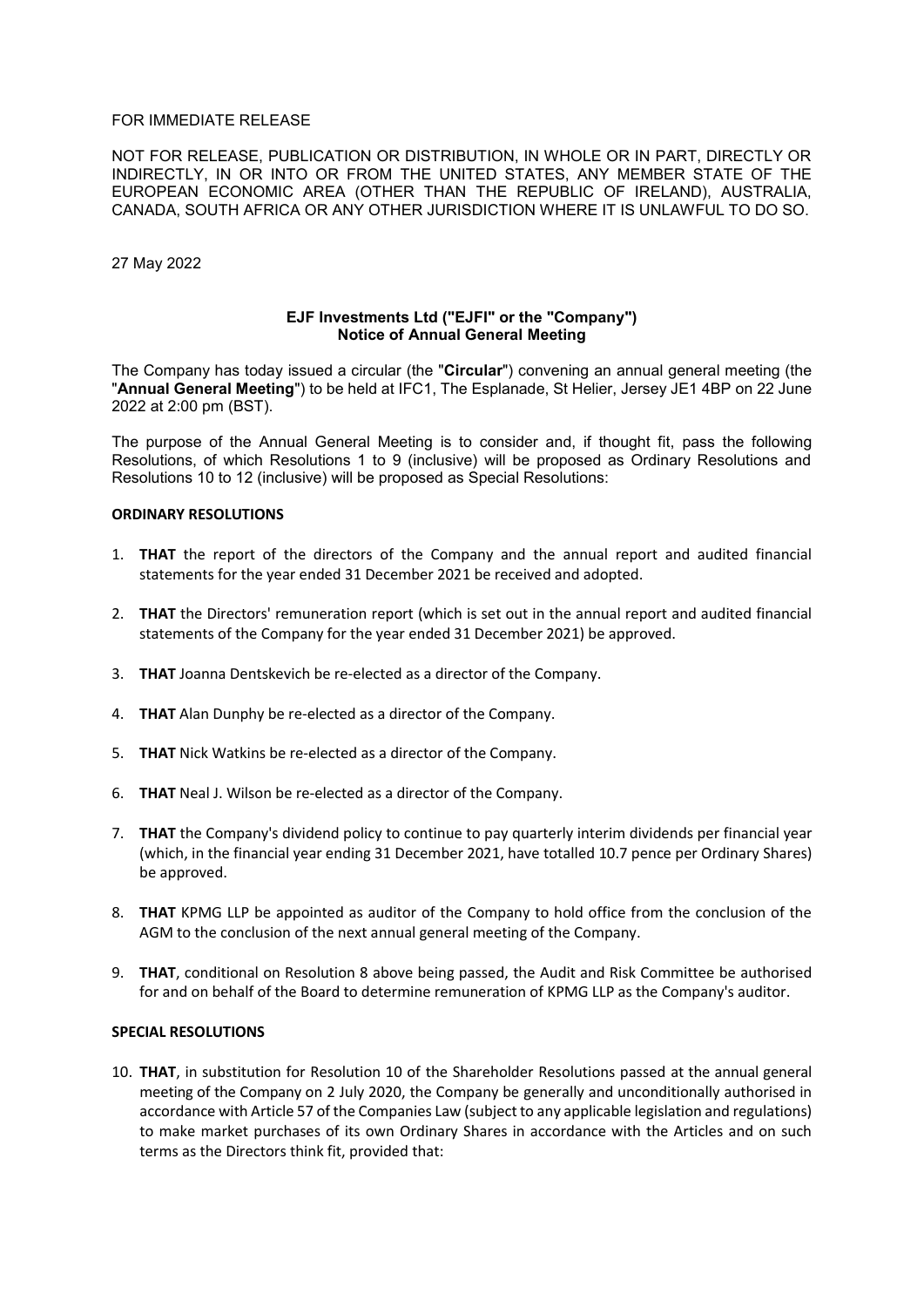# FOR IMMEDIATE RELEASE

NOT FOR RELEASE, PUBLICATION OR DISTRIBUTION, IN WHOLE OR IN PART, DIRECTLY OR INDIRECTLY, IN OR INTO OR FROM THE UNITED STATES, ANY MEMBER STATE OF THE EUROPEAN ECONOMIC AREA (OTHER THAN THE REPUBLIC OF IRELAND), AUSTRALIA, CANADA, SOUTH AFRICA OR ANY OTHER JURISDICTION WHERE IT IS UNLAWFUL TO DO SO.

27 May 2022

# **EJF Investments Ltd ("EJFI" or the "Company") Notice of Annual General Meeting**

The Company has today issued a circular (the "**Circular**") convening an annual general meeting (the "**Annual General Meeting**") to be held at IFC1, The Esplanade, St Helier, Jersey JE1 4BP on 22 June 2022 at 2:00 pm (BST).

The purpose of the Annual General Meeting is to consider and, if thought fit, pass the following Resolutions, of which Resolutions 1 to 9 (inclusive) will be proposed as Ordinary Resolutions and Resolutions 10 to 12 (inclusive) will be proposed as Special Resolutions:

#### **ORDINARY RESOLUTIONS**

- 1. **THAT** the report of the directors of the Company and the annual report and audited financial statements for the year ended 31 December 2021 be received and adopted.
- 2. **THAT** the Directors' remuneration report (which is set out in the annual report and audited financial statements of the Company for the year ended 31 December 2021) be approved.
- 3. **THAT** Joanna Dentskevich be re-elected as a director of the Company.
- 4. **THAT** Alan Dunphy be re-elected as a director of the Company.
- 5. **THAT** Nick Watkins be re-elected as a director of the Company.
- 6. **THAT** Neal J. Wilson be re-elected as a director of the Company.
- 7. **THAT** the Company's dividend policy to continue to pay quarterly interim dividends per financial year (which, in the financial year ending 31 December 2021, have totalled 10.7 pence per Ordinary Shares) be approved.
- 8. **THAT** KPMG LLP be appointed as auditor of the Company to hold office from the conclusion of the AGM to the conclusion of the next annual general meeting of the Company.
- 9. **THAT**, conditional on Resolution 8 above being passed, the Audit and Risk Committee be authorised for and on behalf of the Board to determine remuneration of KPMG LLP as the Company's auditor.

# **SPECIAL RESOLUTIONS**

10. **THAT**, in substitution for Resolution 10 of the Shareholder Resolutions passed at the annual general meeting of the Company on 2 July 2020, the Company be generally and unconditionally authorised in accordance with Article 57 of the Companies Law (subject to any applicable legislation and regulations) to make market purchases of its own Ordinary Shares in accordance with the Articles and on such terms as the Directors think fit, provided that: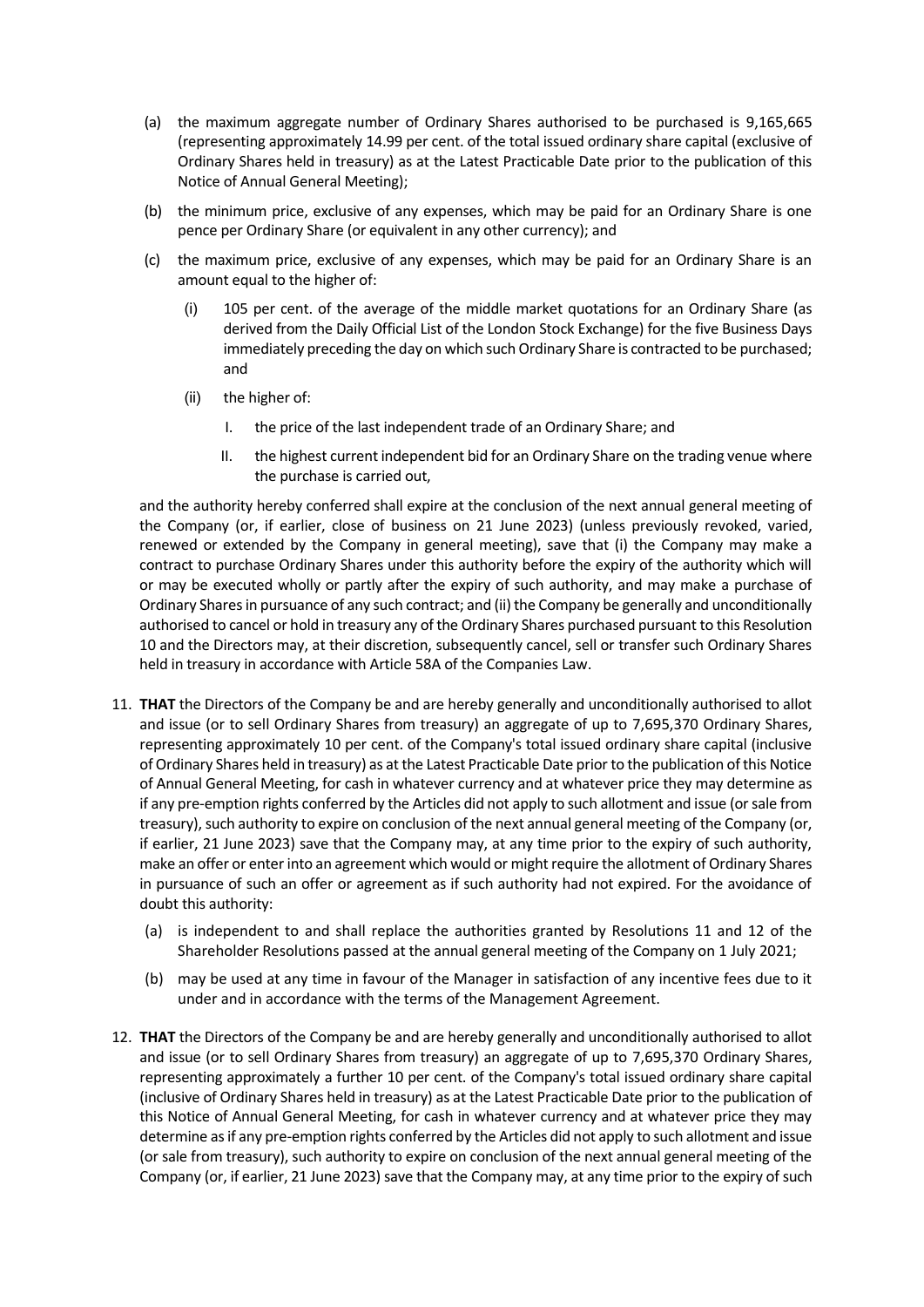- (a) the maximum aggregate number of Ordinary Shares authorised to be purchased is 9,165,665 (representing approximately 14.99 per cent. of the total issued ordinary share capital (exclusive of Ordinary Shares held in treasury) as at the Latest Practicable Date prior to the publication of this Notice of Annual General Meeting);
- (b) the minimum price, exclusive of any expenses, which may be paid for an Ordinary Share is one pence per Ordinary Share (or equivalent in any other currency); and
- (c) the maximum price, exclusive of any expenses, which may be paid for an Ordinary Share is an amount equal to the higher of:
	- (i) 105 per cent. of the average of the middle market quotations for an Ordinary Share (as derived from the Daily Official List of the London Stock Exchange) for the five Business Days immediately preceding the day on which such Ordinary Share is contracted to be purchased; and
	- (ii) the higher of:
		- I. the price of the last independent trade of an Ordinary Share; and
		- II. the highest current independent bid for an Ordinary Share on the trading venue where the purchase is carried out,

and the authority hereby conferred shall expire at the conclusion of the next annual general meeting of the Company (or, if earlier, close of business on 21 June 2023) (unless previously revoked, varied, renewed or extended by the Company in general meeting), save that (i) the Company may make a contract to purchase Ordinary Shares under this authority before the expiry of the authority which will or may be executed wholly or partly after the expiry of such authority, and may make a purchase of Ordinary Shares in pursuance of any such contract; and (ii) the Company be generally and unconditionally authorised to cancel or hold in treasury any of the Ordinary Shares purchased pursuant to this Resolution 10 and the Directors may, at their discretion, subsequently cancel, sell or transfer such Ordinary Shares held in treasury in accordance with Article 58A of the Companies Law.

- 11. **THAT** the Directors of the Company be and are hereby generally and unconditionally authorised to allot and issue (or to sell Ordinary Shares from treasury) an aggregate of up to 7,695,370 Ordinary Shares, representing approximately 10 per cent. of the Company's total issued ordinary share capital (inclusive of Ordinary Shares held in treasury) as at the Latest Practicable Date prior to the publication of this Notice of Annual General Meeting, for cash in whatever currency and at whatever price they may determine as if any pre-emption rights conferred by the Articles did not apply to such allotment and issue (or sale from treasury), such authority to expire on conclusion of the next annual general meeting of the Company (or, if earlier, 21 June 2023) save that the Company may, at any time prior to the expiry of such authority, make an offer or enter into an agreement which would or might require the allotment of Ordinary Shares in pursuance of such an offer or agreement as if such authority had not expired. For the avoidance of doubt this authority:
	- (a) is independent to and shall replace the authorities granted by Resolutions 11 and 12 of the Shareholder Resolutions passed at the annual general meeting of the Company on 1 July 2021;
	- (b) may be used at any time in favour of the Manager in satisfaction of any incentive fees due to it under and in accordance with the terms of the Management Agreement.
- 12. **THAT** the Directors of the Company be and are hereby generally and unconditionally authorised to allot and issue (or to sell Ordinary Shares from treasury) an aggregate of up to 7,695,370 Ordinary Shares, representing approximately a further 10 per cent. of the Company's total issued ordinary share capital (inclusive of Ordinary Shares held in treasury) as at the Latest Practicable Date prior to the publication of this Notice of Annual General Meeting, for cash in whatever currency and at whatever price they may determine as if any pre-emption rights conferred by the Articles did not apply to such allotment and issue (or sale from treasury), such authority to expire on conclusion of the next annual general meeting of the Company (or, if earlier, 21 June 2023) save that the Company may, at any time prior to the expiry of such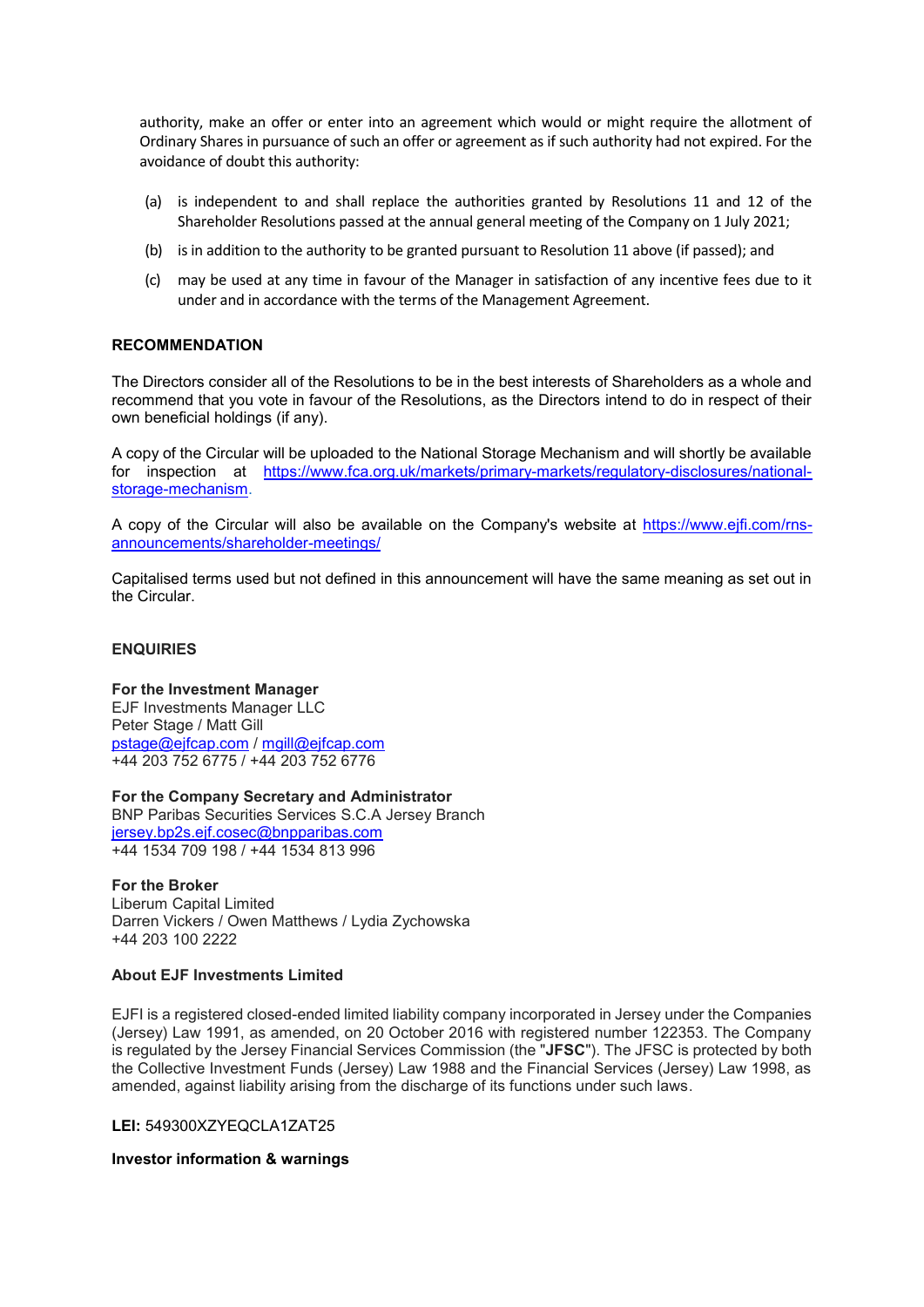authority, make an offer or enter into an agreement which would or might require the allotment of Ordinary Shares in pursuance of such an offer or agreement as if such authority had not expired. For the avoidance of doubt this authority:

- (a) is independent to and shall replace the authorities granted by Resolutions 11 and 12 of the Shareholder Resolutions passed at the annual general meeting of the Company on 1 July 2021;
- (b) is in addition to the authority to be granted pursuant to Resolution 11 above (if passed); and
- (c) may be used at any time in favour of the Manager in satisfaction of any incentive fees due to it under and in accordance with the terms of the Management Agreement.

# **RECOMMENDATION**

The Directors consider all of the Resolutions to be in the best interests of Shareholders as a whole and recommend that you vote in favour of the Resolutions, as the Directors intend to do in respect of their own beneficial holdings (if any).

A copy of the Circular will be uploaded to the National Storage Mechanism and will shortly be available for inspection at [https://www.fca.org.uk/markets/primary-markets/regulatory-disclosures/national](https://www.fca.org.uk/markets/primary-markets/regulatory-disclosures/national-storage-mechanism)[storage-mechanism.](https://www.fca.org.uk/markets/primary-markets/regulatory-disclosures/national-storage-mechanism)

A copy of the Circular will also be available on the Company's website at [https://www.ejfi.com/rns](https://www.ejfi.com/rns-announcements/shareholder-meetings/)[announcements/shareholder-meetings/](https://www.ejfi.com/rns-announcements/shareholder-meetings/)

Capitalised terms used but not defined in this announcement will have the same meaning as set out in the Circular.

# **ENQUIRIES**

# **For the Investment Manager**

EJF Investments Manager LLC Peter Stage / Matt Gill [pstage@ejfcap.com](mailto:pstage@ejfcap.com) / [mgill@ejfcap.com](mailto:mgill@ejfcap.com) +44 203 752 6775 / +44 203 752 6776

**For the Company Secretary and Administrator**

BNP Paribas Securities Services S.C.A Jersey Branch [jersey.bp2s.ejf.cosec@bnpparibas.com](mailto:jersey.bp2s.ejf.cosec@bnpparibas.com) +44 1534 709 198 / +44 1534 813 996

#### **For the Broker**

Liberum Capital Limited Darren Vickers / Owen Matthews / Lydia Zychowska +44 203 100 2222

#### **About EJF Investments Limited**

EJFI is a registered closed-ended limited liability company incorporated in Jersey under the Companies (Jersey) Law 1991, as amended, on 20 October 2016 with registered number 122353. The Company is regulated by the Jersey Financial Services Commission (the "**JFSC**"). The JFSC is protected by both the Collective Investment Funds (Jersey) Law 1988 and the Financial Services (Jersey) Law 1998, as amended, against liability arising from the discharge of its functions under such laws.

#### **LEI:** 549300XZYEQCLA1ZAT25

#### **Investor information & warnings**